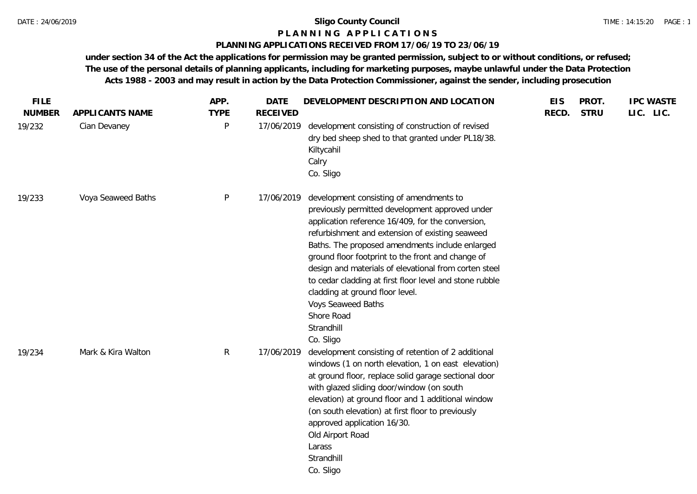## **P L A N N I N G A P P L I C A T I O N S**

#### **PLANNING APPLICATIONS RECEIVED FROM 17/06/19 TO 23/06/19**

| <b>FILE</b><br><b>NUMBER</b> | APPLICANTS NAME    | APP.<br><b>TYPE</b> | <b>DATE</b><br><b>RECEIVED</b> | DEVELOPMENT DESCRIPTION AND LOCATION                                                                                                                                                                                                                                                                                                                                                                                                                                                                                             | <b>EIS</b><br>RECD. | PROT.<br><b>STRU</b> | <b>IPC WASTE</b><br>LIC. LIC. |
|------------------------------|--------------------|---------------------|--------------------------------|----------------------------------------------------------------------------------------------------------------------------------------------------------------------------------------------------------------------------------------------------------------------------------------------------------------------------------------------------------------------------------------------------------------------------------------------------------------------------------------------------------------------------------|---------------------|----------------------|-------------------------------|
| 19/232                       | Cian Devaney       | P                   | 17/06/2019                     | development consisting of construction of revised<br>dry bed sheep shed to that granted under PL18/38.<br>Kiltycahil<br>Calry<br>Co. Sligo                                                                                                                                                                                                                                                                                                                                                                                       |                     |                      |                               |
| 19/233                       | Voya Seaweed Baths | P                   | 17/06/2019                     | development consisting of amendments to<br>previously permitted development approved under<br>application reference 16/409, for the conversion,<br>refurbishment and extension of existing seaweed<br>Baths. The proposed amendments include enlarged<br>ground floor footprint to the front and change of<br>design and materials of elevational from corten steel<br>to cedar cladding at first floor level and stone rubble<br>cladding at ground floor level.<br>Voys Seaweed Baths<br>Shore Road<br>Strandhill<br>Co. Sligo |                     |                      |                               |
| 19/234                       | Mark & Kira Walton | $\mathsf{R}$        | 17/06/2019                     | development consisting of retention of 2 additional<br>windows (1 on north elevation, 1 on east elevation)<br>at ground floor, replace solid garage sectional door<br>with glazed sliding door/window (on south<br>elevation) at ground floor and 1 additional window<br>(on south elevation) at first floor to previously<br>approved application 16/30.<br>Old Airport Road<br>Larass<br>Strandhill<br>Co. Sligo                                                                                                               |                     |                      |                               |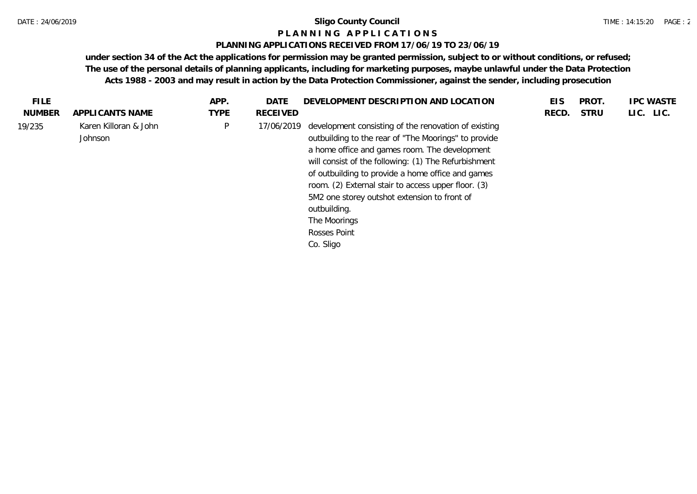#### **P L A N N I N G A P P L I C A T I O N S**

#### **PLANNING APPLICATIONS RECEIVED FROM 17/06/19 TO 23/06/19**

| <b>TYPE</b><br>LIC. LIC.<br><b>NUMBER</b><br><b>RECEIVED</b><br><b>STRU</b><br>APPLICANTS NAME<br>RECD.<br>Karen Killoran & John<br>P<br>development consisting of the renovation of existing<br>19/235<br>17/06/2019<br>outbuilding to the rear of "The Moorings" to provide<br>Johnson<br>a home office and games room. The development<br>will consist of the following: (1) The Refurbishment<br>of outbuilding to provide a home office and games<br>room. (2) External stair to access upper floor. (3)<br>5M2 one storey outshot extension to front of<br>outbuilding.<br>The Moorings<br>Rosses Point<br>Co. Sligo | FILE. | APP. | DATE | DEVELOPMENT DESCRIPTION AND LOCATION | <b>EIS</b> | <b>PROT</b> | <b>IPC WASTE</b> |
|----------------------------------------------------------------------------------------------------------------------------------------------------------------------------------------------------------------------------------------------------------------------------------------------------------------------------------------------------------------------------------------------------------------------------------------------------------------------------------------------------------------------------------------------------------------------------------------------------------------------------|-------|------|------|--------------------------------------|------------|-------------|------------------|
|                                                                                                                                                                                                                                                                                                                                                                                                                                                                                                                                                                                                                            |       |      |      |                                      |            |             |                  |
|                                                                                                                                                                                                                                                                                                                                                                                                                                                                                                                                                                                                                            |       |      |      |                                      |            |             |                  |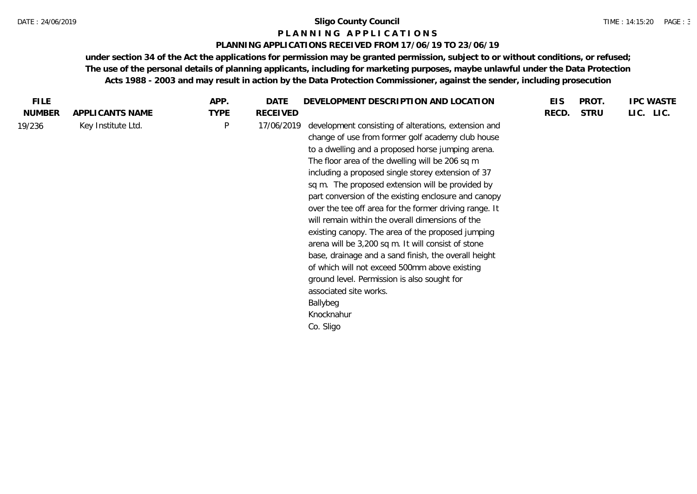#### **P L A N N I N G A P P L I C A T I O N S**

#### **PLANNING APPLICATIONS RECEIVED FROM 17/06/19 TO 23/06/19**

| FILE.         |                    | APP.         | DATE            | DEVELOPMENT DESCRIPTION AND LOCATION                                                                                                                                                                                                                                                                                                                                                                                                                                                                                                                                                                                                                                                                                                                                                                                                  | <b>EIS</b> | PROT.       | <b>IPC WASTE</b> |
|---------------|--------------------|--------------|-----------------|---------------------------------------------------------------------------------------------------------------------------------------------------------------------------------------------------------------------------------------------------------------------------------------------------------------------------------------------------------------------------------------------------------------------------------------------------------------------------------------------------------------------------------------------------------------------------------------------------------------------------------------------------------------------------------------------------------------------------------------------------------------------------------------------------------------------------------------|------------|-------------|------------------|
| <b>NUMBER</b> | APPLICANTS NAME    | <b>TYPE</b>  | <b>RECEIVED</b> |                                                                                                                                                                                                                                                                                                                                                                                                                                                                                                                                                                                                                                                                                                                                                                                                                                       | RECD.      | <b>STRU</b> | LIC. LIC.        |
| 19/236        | Key Institute Ltd. | $\mathsf{P}$ | 17/06/2019      | development consisting of alterations, extension and<br>change of use from former golf academy club house<br>to a dwelling and a proposed horse jumping arena.<br>The floor area of the dwelling will be 206 sq m<br>including a proposed single storey extension of 37<br>sq m. The proposed extension will be provided by<br>part conversion of the existing enclosure and canopy<br>over the tee off area for the former driving range. It<br>will remain within the overall dimensions of the<br>existing canopy. The area of the proposed jumping<br>arena will be 3,200 sq m. It will consist of stone<br>base, drainage and a sand finish, the overall height<br>of which will not exceed 500mm above existing<br>ground level. Permission is also sought for<br>associated site works.<br>Ballybeg<br>Knocknahur<br>Co. Sligo |            |             |                  |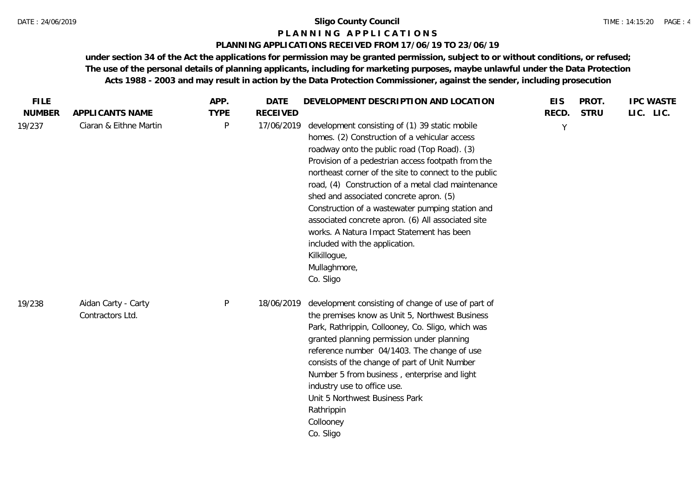#### TIME : 14:15:20 PAGE : 4

### **P L A N N I N G A P P L I C A T I O N S**

## **PLANNING APPLICATIONS RECEIVED FROM 17/06/19 TO 23/06/19**

| <b>FILE</b>   |                                         | APP.        | <b>DATE</b>     | DEVELOPMENT DESCRIPTION AND LOCATION                                                                                                                                                                                                                                                                                                                                                                                                                                                                                                                                                                  | <b>EIS</b> | PROT.       | <b>IPC WASTE</b> |
|---------------|-----------------------------------------|-------------|-----------------|-------------------------------------------------------------------------------------------------------------------------------------------------------------------------------------------------------------------------------------------------------------------------------------------------------------------------------------------------------------------------------------------------------------------------------------------------------------------------------------------------------------------------------------------------------------------------------------------------------|------------|-------------|------------------|
| <b>NUMBER</b> | APPLICANTS NAME                         | <b>TYPE</b> | <b>RECEIVED</b> |                                                                                                                                                                                                                                                                                                                                                                                                                                                                                                                                                                                                       | RECD.      | <b>STRU</b> | LIC. LIC.        |
| 19/237        | Ciaran & Eithne Martin                  | P           | 17/06/2019      | development consisting of (1) 39 static mobile<br>homes. (2) Construction of a vehicular access<br>roadway onto the public road (Top Road). (3)<br>Provision of a pedestrian access footpath from the<br>northeast corner of the site to connect to the public<br>road, (4) Construction of a metal clad maintenance<br>shed and associated concrete apron. (5)<br>Construction of a wastewater pumping station and<br>associated concrete apron. (6) All associated site<br>works. A Natura Impact Statement has been<br>included with the application.<br>Kilkillogue,<br>Mullaghmore,<br>Co. Sligo | Y          |             |                  |
| 19/238        | Aidan Carty - Carty<br>Contractors Ltd. | $\sf P$     | 18/06/2019      | development consisting of change of use of part of<br>the premises know as Unit 5, Northwest Business<br>Park, Rathrippin, Collooney, Co. Sligo, which was<br>granted planning permission under planning<br>reference number 04/1403. The change of use<br>consists of the change of part of Unit Number<br>Number 5 from business, enterprise and light<br>industry use to office use.<br>Unit 5 Northwest Business Park<br>Rathrippin<br>Collooney<br>Co. Sligo                                                                                                                                     |            |             |                  |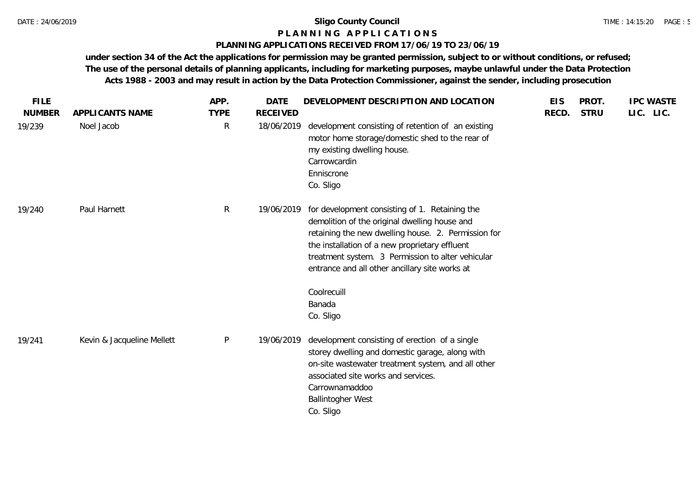#### **P L A N N I N G A P P L I C A T I O N S**

## **PLANNING APPLICATIONS RECEIVED FROM 17/06/19 TO 23/06/19**

| <b>FILE</b><br><b>NUMBER</b> | APPLICANTS NAME            | APP.<br><b>TYPE</b> | <b>DATE</b><br><b>RECEIVED</b> | DEVELOPMENT DESCRIPTION AND LOCATION                                                                                                                                                                                                                                                                            | <b>EIS</b><br>RECD. | PROT.<br><b>STRU</b> | <b>IPC WASTE</b><br>LIC. LIC. |
|------------------------------|----------------------------|---------------------|--------------------------------|-----------------------------------------------------------------------------------------------------------------------------------------------------------------------------------------------------------------------------------------------------------------------------------------------------------------|---------------------|----------------------|-------------------------------|
| 19/239                       | Noel Jacob                 | $\mathsf{R}$        | 18/06/2019                     | development consisting of retention of an existing<br>motor home storage/domestic shed to the rear of<br>my existing dwelling house.<br>Carrowcardin<br>Enniscrone<br>Co. Sligo                                                                                                                                 |                     |                      |                               |
| 19/240                       | Paul Harnett               | $\mathsf{R}$        | 19/06/2019                     | for development consisting of 1. Retaining the<br>demolition of the original dwelling house and<br>retaining the new dwelling house. 2. Permission for<br>the installation of a new proprietary effluent<br>treatment system. 3 Permission to alter vehicular<br>entrance and all other ancillary site works at |                     |                      |                               |
|                              |                            |                     |                                | Coolrecuill<br>Banada<br>Co. Sligo                                                                                                                                                                                                                                                                              |                     |                      |                               |
| 19/241                       | Kevin & Jacqueline Mellett | $\mathsf{P}$        | 19/06/2019                     | development consisting of erection of a single<br>storey dwelling and domestic garage, along with<br>on-site wastewater treatment system, and all other<br>associated site works and services.<br>Carrownamaddoo<br><b>Ballintogher West</b><br>Co. Sligo                                                       |                     |                      |                               |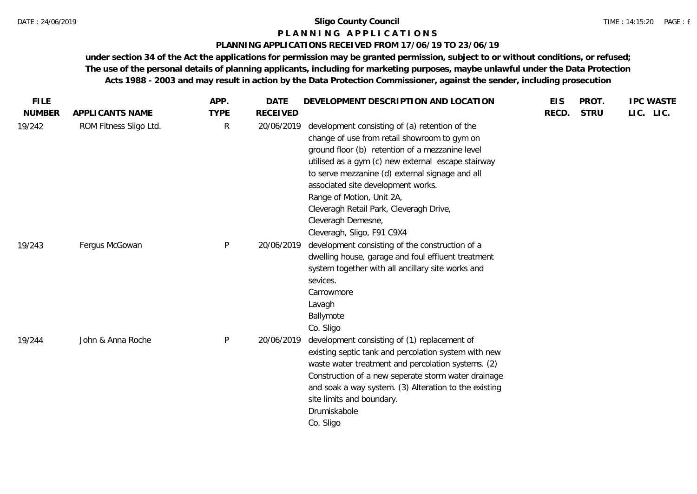#### **P L A N N I N G A P P L I C A T I O N S**

#### **PLANNING APPLICATIONS RECEIVED FROM 17/06/19 TO 23/06/19**

| <b>FILE</b>   |                        | APP.         | <b>DATE</b>     | DEVELOPMENT DESCRIPTION AND LOCATION                                                                                                                                                                                                                                                                                                                                                                                         | <b>EIS</b> | PROT.       | <b>IPC WASTE</b> |  |
|---------------|------------------------|--------------|-----------------|------------------------------------------------------------------------------------------------------------------------------------------------------------------------------------------------------------------------------------------------------------------------------------------------------------------------------------------------------------------------------------------------------------------------------|------------|-------------|------------------|--|
| <b>NUMBER</b> | APPLICANTS NAME        | <b>TYPE</b>  | <b>RECEIVED</b> |                                                                                                                                                                                                                                                                                                                                                                                                                              | RECD.      | <b>STRU</b> | LIC. LIC.        |  |
| 19/242        | ROM Fitness Sligo Ltd. | $\mathsf{R}$ | 20/06/2019      | development consisting of (a) retention of the<br>change of use from retail showroom to gym on<br>ground floor (b) retention of a mezzanine level<br>utilised as a gym (c) new external escape stairway<br>to serve mezzanine (d) external signage and all<br>associated site development works.<br>Range of Motion, Unit 2A,<br>Cleveragh Retail Park, Cleveragh Drive,<br>Cleveragh Demesne,<br>Cleveragh, Sligo, F91 C9X4 |            |             |                  |  |
| 19/243        | Fergus McGowan         | $\mathsf{P}$ | 20/06/2019      | development consisting of the construction of a<br>dwelling house, garage and foul effluent treatment<br>system together with all ancillary site works and<br>sevices.<br>Carrowmore<br>Lavagh<br>Ballymote<br>Co. Sligo                                                                                                                                                                                                     |            |             |                  |  |
| 19/244        | John & Anna Roche      | $\mathsf{P}$ | 20/06/2019      | development consisting of (1) replacement of<br>existing septic tank and percolation system with new<br>waste water treatment and percolation systems. (2)<br>Construction of a new seperate storm water drainage<br>and soak a way system. (3) Alteration to the existing<br>site limits and boundary.<br>Drumiskabole<br>Co. Sligo                                                                                         |            |             |                  |  |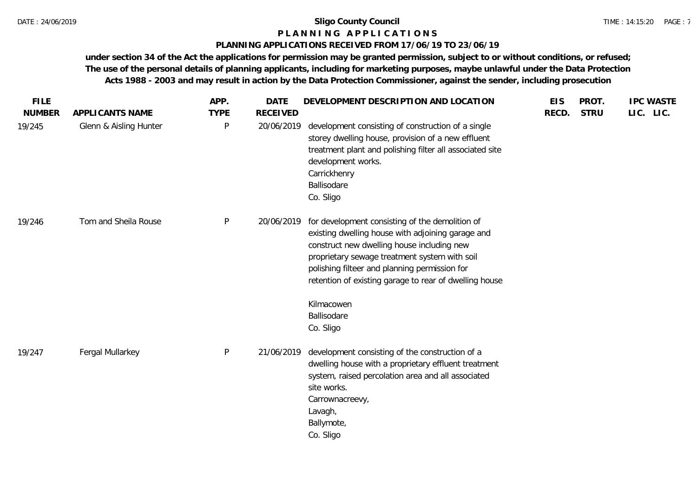#### **P L A N N I N G A P P L I C A T I O N S**

#### **PLANNING APPLICATIONS RECEIVED FROM 17/06/19 TO 23/06/19**

| <b>FILE</b>   |                        | APP.         | <b>DATE</b>     | DEVELOPMENT DESCRIPTION AND LOCATION                                                                                                                                                                                                                                                                                         | <b>EIS</b> | PROT.       | <b>IPC WASTE</b> |
|---------------|------------------------|--------------|-----------------|------------------------------------------------------------------------------------------------------------------------------------------------------------------------------------------------------------------------------------------------------------------------------------------------------------------------------|------------|-------------|------------------|
| <b>NUMBER</b> | APPLICANTS NAME        | <b>TYPE</b>  | <b>RECEIVED</b> |                                                                                                                                                                                                                                                                                                                              | RECD.      | <b>STRU</b> | LIC. LIC.        |
| 19/245        | Glenn & Aisling Hunter | P            | 20/06/2019      | development consisting of construction of a single<br>storey dwelling house, provision of a new effluent<br>treatment plant and polishing filter all associated site<br>development works.<br>Carrickhenry<br>Ballisodare<br>Co. Sligo                                                                                       |            |             |                  |
| 19/246        | Tom and Sheila Rouse   | P            | 20/06/2019      | for development consisting of the demolition of<br>existing dwelling house with adjoining garage and<br>construct new dwelling house including new<br>proprietary sewage treatment system with soil<br>polishing filteer and planning permission for<br>retention of existing garage to rear of dwelling house<br>Kilmacowen |            |             |                  |
|               |                        |              |                 | Ballisodare                                                                                                                                                                                                                                                                                                                  |            |             |                  |
|               |                        |              |                 | Co. Sligo                                                                                                                                                                                                                                                                                                                    |            |             |                  |
| 19/247        | Fergal Mullarkey       | $\mathsf{P}$ | 21/06/2019      | development consisting of the construction of a<br>dwelling house with a proprietary effluent treatment<br>system, raised percolation area and all associated<br>site works.<br>Carrownacreevy,<br>Lavagh,<br>Ballymote,<br>Co. Sligo                                                                                        |            |             |                  |
|               |                        |              |                 |                                                                                                                                                                                                                                                                                                                              |            |             |                  |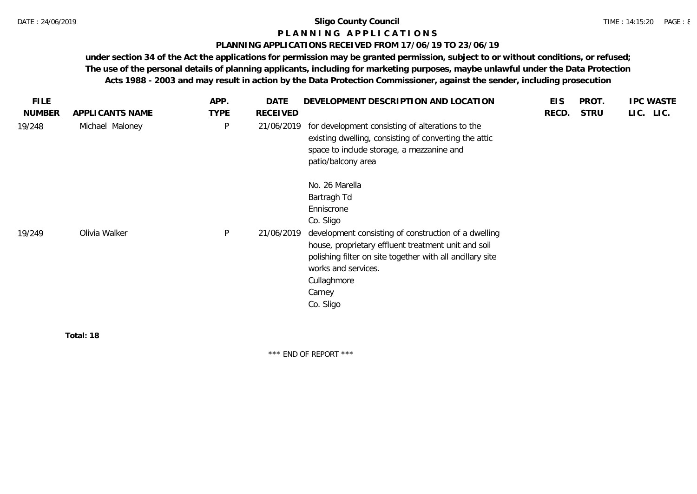# **P L A N N I N G A P P L I C A T I O N S**

## **PLANNING APPLICATIONS RECEIVED FROM 17/06/19 TO 23/06/19**

**under section 34 of the Act the applications for permission may be granted permission, subject to or without conditions, or refused; The use of the personal details of planning applicants, including for marketing purposes, maybe unlawful under the Data Protection Acts 1988 - 2003 and may result in action by the Data Protection Commissioner, against the sender, including prosecution**

| <b>FILE</b>   |                 | APP.        | <b>DATE</b> | DEVELOPMENT DESCRIPTION AND LOCATION                                                                                                                                                                                                                                                              | <b>EIS</b> | PROT.       | <b>IPC WASTE</b> |
|---------------|-----------------|-------------|-------------|---------------------------------------------------------------------------------------------------------------------------------------------------------------------------------------------------------------------------------------------------------------------------------------------------|------------|-------------|------------------|
| <b>NUMBER</b> | APPLICANTS NAME | <b>TYPE</b> | RECEIVED    |                                                                                                                                                                                                                                                                                                   | RECD.      | <b>STRU</b> | LIC. LIC.        |
| 19/248        | Michael Maloney | $\sf P$     | 21/06/2019  | for development consisting of alterations to the<br>existing dwelling, consisting of converting the attic<br>space to include storage, a mezzanine and<br>patio/balcony area                                                                                                                      |            |             |                  |
| 19/249        | Olivia Walker   | P           | 21/06/2019  | No. 26 Marella<br>Bartragh Td<br>Enniscrone<br>Co. Sligo<br>development consisting of construction of a dwelling<br>house, proprietary effluent treatment unit and soil<br>polishing filter on site together with all ancillary site<br>works and services.<br>Cullaghmore<br>Carney<br>Co. Sligo |            |             |                  |
|               | _ _ _ _         |             |             |                                                                                                                                                                                                                                                                                                   |            |             |                  |

**Total: 18**

\*\*\* END OF REPORT \*\*\*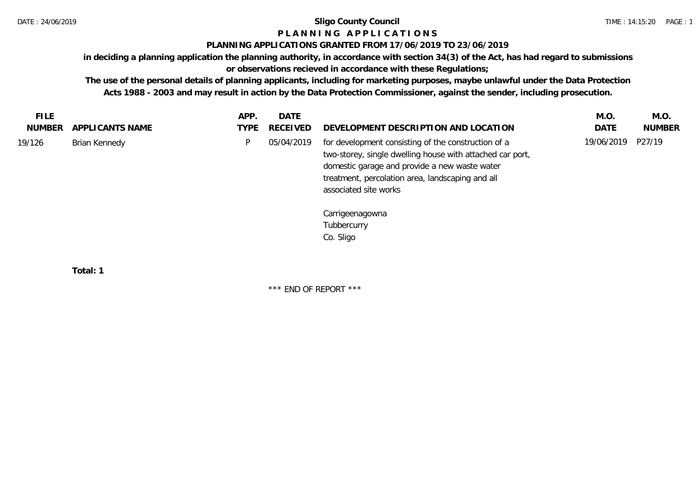## **P L A N N I N G A P P L I C A T I O N S**

## **PLANNING APPLICATIONS GRANTED FROM 17/06/2019 TO 23/06/2019**

**in deciding a planning application the planning authority, in accordance with section 34(3) of the Act, has had regard to submissions** 

## **or observations recieved in accordance with these Regulations;**

**The use of the personal details of planning applicants, including for marketing purposes, maybe unlawful under the Data Protection Acts 1988 - 2003 and may result in action by the Data Protection Commissioner, against the sender, including prosecution.**

| FILE.<br>NUMBER | APPLICANTS NAME | APP.<br>TYPE | DATE<br>RECEIVED | DEVELOPMENT DESCRIPTION AND LOCATION                                                                                                                                                                                                           | M.O.<br><b>DATE</b> | M.O.<br><b>NUMBER</b> |
|-----------------|-----------------|--------------|------------------|------------------------------------------------------------------------------------------------------------------------------------------------------------------------------------------------------------------------------------------------|---------------------|-----------------------|
| 19/126          | Brian Kennedy   |              | 05/04/2019       | for development consisting of the construction of a<br>two-storey, single dwelling house with attached car port,<br>domestic garage and provide a new waste water<br>treatment, percolation area, landscaping and all<br>associated site works | 19/06/2019          | P27/19                |
|                 |                 |              |                  | Carrigeenagowna<br>Tubbercurry<br>Co. Sligo                                                                                                                                                                                                    |                     |                       |

**Total: 1**

\*\*\* END OF REPORT \*\*\*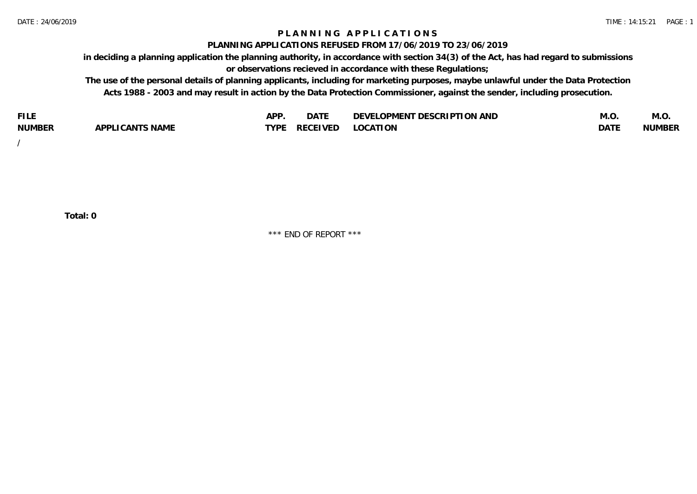## **P L A N N I N G A P P L I C A T I O N S**

#### **PLANNING APPLICATIONS REFUSED FROM 17/06/2019 TO 23/06/2019**

**in deciding a planning application the planning authority, in accordance with section 34(3) of the Act, has had regard to submissions or observations recieved in accordance with these Regulations;**

**The use of the personal details of planning applicants, including for marketing purposes, maybe unlawful under the Data Protection Acts 1988 - 2003 and may result in action by the Data Protection Commissioner, against the sender, including prosecution.**

| <b>FILE</b>   |                    | AP'         | $\sim$ $\sim$ $\sim$ $\sim$<br>DAIE | <b>LOPMENT DESCRIPTION AND</b><br><b>DEVF</b><br>- 7 | IVI.U       | IVI.U  |
|---------------|--------------------|-------------|-------------------------------------|------------------------------------------------------|-------------|--------|
| <b>NUMBER</b> | CANTS NAME<br>ADD' | <b>TYPI</b> | <b>RECEIVED</b>                     | LOCATION                                             | <b>DATE</b> | NUMBER |

/

**Total: 0**

\*\*\* END OF REPORT \*\*\*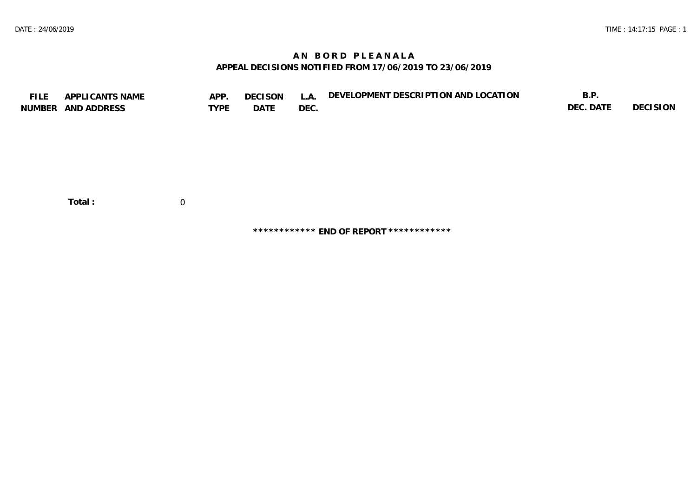## **A N B O R D P L E A N A L A APPEAL DECISIONS NOTIFIED FROM 17/06/2019 TO 23/06/2019**

| <b>FILE</b> | APPLICANTS NAME<br>NUMBER AND ADDRESS | APP.<br><b>TYPE</b> | <b>DECISON</b><br>DATE | L.A.<br>DEC. | DEVELOPMENT DESCRIPTION AND LOCATION | B.P.<br>DEC. DATE | <b>DECISION</b> |
|-------------|---------------------------------------|---------------------|------------------------|--------------|--------------------------------------|-------------------|-----------------|
|             | Total:                                | $\overline{0}$      |                        |              |                                      |                   |                 |

**\*\*\*\*\*\*\*\*\*\*\*\* END OF REPORT \*\*\*\*\*\*\*\*\*\*\*\***